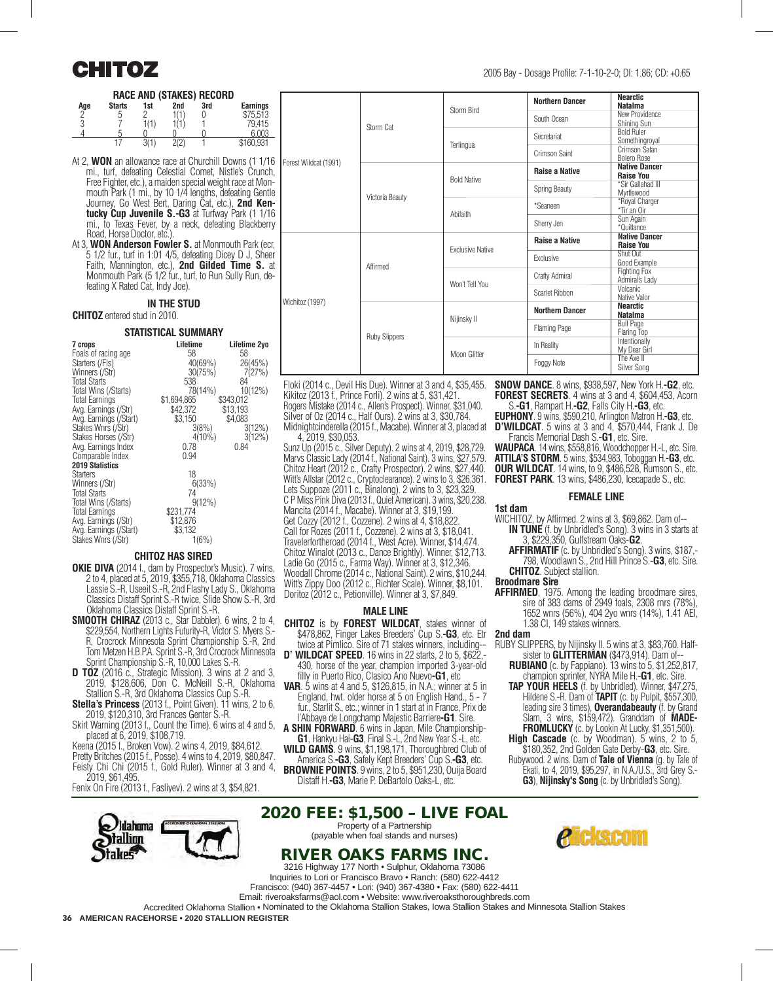#### **RACE AND (STAKES) RECORD**

| Age | <b>Starts</b> | <br>1st | 2nd  | . .<br>3rd | <b>Earnings</b> |
|-----|---------------|---------|------|------------|-----------------|
| ∩   | b             |         | 1(1) |            | \$75.513        |
| 3   |               | 1(1)    |      |            | 79,415          |
|     | .5            |         |      |            | 6.003           |
|     |               | 3(1)    | 2(2) |            | \$160,931       |

- At 2, **WON** an allowance race at Churchill Downs (1 1/16 mi., turf, defeating Celestial Comet, Nistle's Crunch, Free Fighter, etc.), a maiden special weight race at Monmouth Park (1 mi., by 10 1/4 lengths, defeating Gentle Journey, Go West Bert, Daring Cat, etc.), **2nd Kentucky Cup Juvenile S.-G3** at Turfway Park (1 1/16 mi., to Texas Fever, by a neck, defeating Blackberry Road, Horse Doctor, etc.).
- At 3, **WON Anderson Fowler S.**at Monmouth Park (ecr, 5 1/2 fur., turf in 1:01 4/5, defeating Dicey D J, Sheer Faith, Mannington, etc.), **2nd Gilded Time S.** at Monmouth Park (5 1/2 fur., turf, to Run Sully Run, defeating X Rated Cat, Indy Joe).

#### **IN THE STUD**

#### **CHITOZ** entered stud in 2010.

#### **STATISTICAL SUMMARY**

| 7 crops<br>Foals of racing age          | Lifetime<br>58 | Lifetime 2yo<br>58 |
|-----------------------------------------|----------------|--------------------|
| Starters (/FIs)                         | 40(69%)        | 26(45%)            |
| Winners (/Str)                          | 30(75%)        | 7(27%)             |
| <b>Total Starts</b>                     | 538            | 84                 |
| Total Wins (/Starts)                    | 78(14%)        | $10(12\%)$         |
| <b>Total Earnings</b>                   | \$1,694,865    | \$343,012          |
| Avg. Earnings (/Str)                    | \$42,372       | \$13,193           |
| Avg. Earnings (/Start)                  | \$3,150        | \$4,083            |
| Stakes Wnrs (/Str)                      | 3(8%)          | $3(12\%)$          |
| Stakes Horses (/Str)                    | $4(10\%)$      | 3(12%)             |
| Avg. Earnings Index<br>Comparable Index | 0.78<br>0.94   | 0.84               |
| <b>2019 Statistics</b>                  |                |                    |
| <b>Starters</b>                         | 18             |                    |
| Winners (/Str)                          | 6(33%)         |                    |
| <b>Total Starts</b>                     | 74             |                    |
| Total Wins (/Starts)                    | $9(12\%)$      |                    |
| <b>Total Earnings</b>                   | \$231,774      |                    |
| Avg. Earnings (/Str)                    | \$12,876       |                    |
| Avg. Earnings (/Start)                  | \$3,132        |                    |
| Stakes Wnrs (/Str)                      | 1(6%)          |                    |

#### **CHITOZ HAS SIRED**

- **OKIE DIVA** (2014 f., dam by Prospector's Music). 7 wins, 2 to 4, placed at 5, 2019, \$355,718, Oklahoma Classics Lassie S.-R, Useeit S.-R, 2nd Flashy Lady S., Oklahoma Classics Distaff Sprint S.-R twice, Slide Show S.-R, 3rd Oklahoma Classics Distaff Sprint S.-R.
- **SMOOTH CHIRAZ** (2013 c., Star Dabbler). 6 wins, 2 to 4, \$229,554, Northern Lights Futurity-R, Victor S. Myers S. R, Crocrock Minnesota Sprint Championship S.-R, 2nd Tom Metzen H.B.P.A. Sprint S.-R, 3rd Crocrock Minnesota Sprint Championship S.-R, 10,000 Lakes S.-R.
- **D TOZ** (2016 c., Strategic Mission). 3 wins at 2 and 3, 2019, \$128,606, Don C. McNeill S.-R, Oklahoma Stallion S.-R, 3rd Oklahoma Classics Cup S.-R.
- **Stella's Princess** (2013 f., Point Given). 11 wins, 2 to 6, 2019, \$120,310, 3rd Frances Genter S.-R.
- Skirt Warning (2013 f., Count the Time). 6 wins at 4 and 5, placed at 6, 2019, \$108,719.

Keena (2015 f., Broken Vow). 2 wins 4, 2019, \$84,612. Pretty Britches (2015 f., Posse). 4 wins to 4, 2019, \$80,847.

Feisty Chi Chi (2015 f., Gold Ruler). Winner at 3 and 4, 2019, \$61,495.

Fenix On Fire (2013 f., Fasliyev). 2 wins at 3, \$54,821.

lahoma

|                       |                      | Storm Bird              | <b>Northern Dancer</b> | <b>Nearctic</b><br><b>Natalma</b>                                                                                                 |
|-----------------------|----------------------|-------------------------|------------------------|-----------------------------------------------------------------------------------------------------------------------------------|
|                       |                      |                         | South Ocean            | New Providence<br>Shining Sun                                                                                                     |
|                       | Storm Cat            | Terlingua               | Secretariat            | <b>Bold Ruler</b><br>Somethingroyal                                                                                               |
|                       |                      |                         | Crimson Saint          | Crimson Satan<br><b>Bolero Rose</b>                                                                                               |
| Forest Wildcat (1991) |                      |                         | <b>Raise a Native</b>  | <b>Native Dancer</b><br><b>Raise You</b>                                                                                          |
|                       |                      | <b>Bold Native</b>      | Spring Beauty          | *Sir Gallahad III<br>Myrtlewood                                                                                                   |
|                       | Victoria Beauty      |                         | *Seaneen               | *Royal Charger<br>*Tir an Oir                                                                                                     |
|                       |                      | Abifaith                | Sherry Jen             | Sun Again<br>*Quittance                                                                                                           |
|                       |                      |                         | <b>Raise a Native</b>  | <b>Native Dancer</b><br><b>Raise You</b>                                                                                          |
|                       | Affirmed             | <b>Exclusive Native</b> | Exclusive              | Shut Out<br>Good Example                                                                                                          |
|                       |                      |                         | Crafty Admiral         | <b>Fighting Fox</b><br>Admiral's Ladv                                                                                             |
|                       |                      | Won't Tell You          | Scarlet Ribbon         | Volcanic<br>Native Valor                                                                                                          |
| Wichitoz (1997)       |                      |                         | <b>Northern Dancer</b> | <b>Nearctic</b><br><b>Natalma</b>                                                                                                 |
|                       | <b>Ruby Slippers</b> | Nijinsky II             | <b>Flaming Page</b>    | <b>Bull Page</b><br>Flaring Top                                                                                                   |
|                       |                      |                         | In Reality             | Intentionally<br>My Dear Girl                                                                                                     |
|                       |                      | Moon Glitter            | Foggy Note             | The Axe II<br>Silver Song                                                                                                         |
|                       |                      |                         |                        | Floki (2014 c., Devil His Due). Winner at 3 and 4, \$35,455. <b>SNOW DANCE</b> , 8 wins, \$938,597. New York H. <b>-G2</b> , etc. |

**1st dam**

Floki (2014 c., Devil His Due). Winner at 3 and 4, \$35,455. Kikitoz (2013 f., Prince Forli). 2 wins at 5, \$31,421. Rogers Mistake (2014 c., Allen's Prospect). Winner, \$31,040. Silver of Oz (2014 c., Half Ours). 2 wins at 3, \$30,784. Midnightcinderella (2015 f., Macabe). Winner at 3, placed at

4, 2019, \$30,053. Sunz Up (2015 c., Silver Deputy). 2 wins at 4, 2019, \$28,729. Marvs Classic Lady (2014 f., National Saint). 3 wins, \$27,579. Chitoz Heart (2012 c., Crafty Prospector). 2 wins, \$27,440. Witt's Allstar (2012 c., Cryptoclearance). 2 wins to 3, \$26,361. Lets Suppoze (2011 c., Binalong). 2 wins to 3, \$23,329. C P Miss Pink Diva (2013 f., Quiet American). 3 wins, \$20,238. Mancita (2014 f., Macabe). Winner at 3, \$19,199. Get Cozzy (2012 f., Cozzene). 2 wins at 4, \$18,822. Call for Rozes (2011 f., Cozzene). 2 wins at 3, \$18,041. Travelerfortheroad (2014 f., West Acre). Winner, \$14,474. Chitoz Winalot (2013 c., Dance Brightly). Winner, \$12,713. Ladie Go (2015 c., Farma Way). Winner at 3, \$12,346. Woodall Chrome (2014 c., National Saint). 2 wins, \$10,244. Witt's Zippy Doo (2012 c., Richter Scale). Winner, \$8,101. Doritoz (2012 c., Petionville). Winner at 3, \$7,849.

#### **MALE LINE**

- **CHITOZ** is by **FOREST WILDCAT**, stakes winner of \$478,862, Finger Lakes Breeders' Cup S.**-G3**, etc. Etr
- twice at Pimlico. Sire of 71 stakes winners, including-- **D' WILDCAT SPEED**. 16 wins in 22 starts, 2 to 5, \$622,-430, horse of the year, champion imported 3-year-old filly in Puerto Rico, Clasico Ano Nuevo**-G1**, etc
- **VAR**. 5 wins at 4 and 5, \$126,815, in N.A.; winner at 5 in England, hwt. older horse at 5 on English Hand., 5 - 7 fur., Starlit S., etc.; winner in 1 start at in France, Prix de l'Abbaye de Longchamp Majestic Barriere**-G1**. Sire.
- **A SHIN FORWARD**. 6 wins in Japan, Mile Championship-**G1**, Hankyu Hai-**G3**, Final S.-L, 2nd New Year S.-L, etc.
- **WILD GAMS**. 9 wins, \$1,198,171, Thoroughbred Club of America S.**-G3**, Safely Kept Breeders' Cup S.**-G3**, etc.
- **BROWNIE POINTS**. 9 wins, 2 to 5, \$951,230, Ouija Board Distaff H.**-G3**, Marie P. DeBartolo Oaks-L, etc.

2020 FEE: \$1,500 – LIVE FOAL Property of a Partnership (payable when foal stands and nurses)

### RIVER OAKS FARMS INC.

ICKSCAM

3216 Highway 177 North • Sulphur, Oklahoma 73086 Inquiries to Lori or Francisco Bravo • Ranch: (580) 622-4412 Francisco: (940) 367-4457 • Lori: (940) 367-4380 • Fax: (580) 622-4411 Email: riveroaksfarms@aol.com • Website: www.riveroaksthoroughbreds.com

Accredited Oklahoma Stallion • Nominated to the Oklahoma Stallion Stakes, Iowa Stallion Stakes and Minnesota Stallion Stakes

36 **AMERICAN RACEHORSE • 2020 STALLION REGISTER**

**FOREST SECRETS**. 4 wins at 3 and 4, \$604,453, Acorn S.**-G1**, Rampart H.**-G2**, Falls City H.**-G3**, etc. **EUPHONY**. 9 wins, \$590,210, Arlington Matron H.**-G3**, etc. **D'WILDCAT**. 5 wins at 3 and 4, \$570,444, Frank J. De Francis Memorial Dash S.**-G1**, etc. Sire. **WAUPACA**. 14 wins, \$558,816, Woodchopper H.-L, etc. Sire. **ATTILA'S STORM**. 5 wins, \$534,983, Toboggan H.**-G3**, etc. **OUR WILDCAT**. 14 wins, to 9, \$486,528, Rumson S., etc. **FOREST PARK**. 13 wins, \$486,230, Icecapade S., etc. **FEMALE LINE**

WICHITOZ, by Affirmed. 2 wins at 3, \$69,862. Dam of-- **IN TUNE** (f. by Unbridled's Song). 3 wins in 3 starts at

**AFFIRMATIF** (c. by Unbridled's Song). 3 wins, \$187,-798, Woodlawn S., 2nd Hill Prince S.-**G3**, etc. Sire.

**AFFIRMED**, 1975. Among the leading broodmare sires, sire of 383 dams of 2949 foals, 2308 rnrs (78%), 1652 wnrs (56%), 404 2yo wnrs (14%), 1.41 AEI,

RUBY SLIPPERS, by Nijinsky II. 5 wins at 3, \$83,760. Halfsister to **GLITTERMAN** (\$473,914). Dam of-- **RUBIANO** (c. by Fappiano). 13 wins to 5, \$1,252,817, champion sprinter, NYRA Mile H.-**G1**, etc. Sire. **TAP YOUR HEELS** (f. by Unbridled). Winner, \$47,275, Hildene S.-R. Dam of **TAPIT** (c. by Pulpit, \$557,300, leading sire 3 times), **Overandabeauty** (f. by Grand Slam, 3 wins, \$159,472). Granddam of **MADE-FROMLUCKY** (c. by Lookin At Lucky, \$1,351,500). **High Cascade** (c. by Woodman). 5 wins, 2 to 5, \$180,352, 2nd Golden Gate Derby-**G3**, etc. Sire. Rubywood. 2 wins. Dam of **Tale of Vienna** (g. by Tale of Ekati, to 4, 2019, \$95,297, in N.A./U.S., 3rd Grey S.- **G3**), **Nijinsky's Song** (c. by Unbridled's Song).

3, \$229,350, Gulfstream Oaks-**G2**.

**CHITOZ**. Subject stallion.

1.38 CI, 149 stakes winners.

**Broodmare Sire**

**2nd dam**